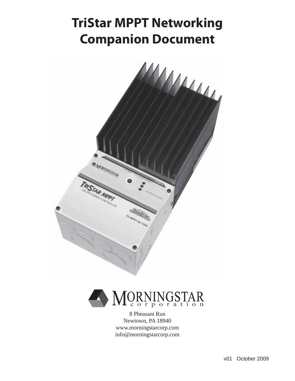# **TriStar MPPT Networking Companion Document**





8 Pheasant Run Newtown, PA 18940 www.morningstarcorp.com info@morningstarcorp.com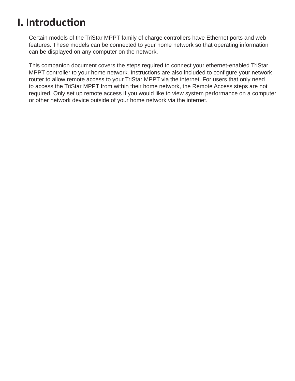## **I. Introducti on**

Certain models of the TriStar MPPT family of charge controllers have Ethernet ports and web features. These models can be connected to your home network so that operating information can be displayed on any computer on the network.

This companion document covers the steps required to connect your ethernet-enabled TriStar MPPT controller to your home network. Instructions are also included to configure your network router to allow remote access to your TriStar MPPT via the internet. For users that only need to access the TriStar MPPT from within their home network, the Remote Access steps are not required. Only set up remote access if you would like to view system performance on a computer or other network device outside of your home network via the internet.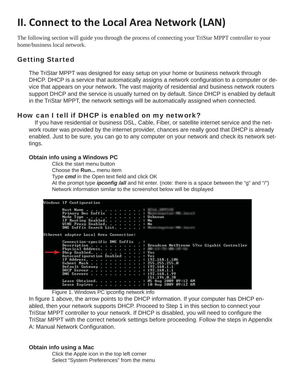# **II. Connect to the Local Area Network (LAN)**

The following section will guide you through the process of connecting your TriStar MPPT controller to your home/business local network.

### Getting Started

The TriStar MPPT was designed for easy setup on your home or business network through DHCP. DHCP is a service that automatically assigns a network configuration to a computer or device that appears on your network. The vast majority of residential and business network routers support DHCP and the service is usually turned on by default. Since DHCP is enabled by default in the TriStar MPPT, the network settings will be automatically assigned when connected.

### How can I tell if DHCP is enabled on my network?

 If you have residential or business DSL, Cable, Fiber, or satellite internet service and the network router was provided by the internet provider, chances are really good that DHCP is already enabled. Just to be sure, you can go to any computer on your network and check its network settings.

#### **Obtain info using a Windows PC**

 Click the start menu button Choose the **Run...** menu item

Type **cmd** in the Open text field and click OK

At the prompt type *ipconfig /all* and hit enter. (note: there is a space between the "g" and "/") Network information similar to the screenshot below will be displayed

| Windows IP Configuration                                                                                                                                                                                                                                                                                                                             |
|------------------------------------------------------------------------------------------------------------------------------------------------------------------------------------------------------------------------------------------------------------------------------------------------------------------------------------------------------|
| Host Name :<br>Primary Dns Suffix :<br>Node Type : Unknown<br>IP Routing Enabled. : No<br>WINS Proxy Enabled. : No<br>DNS Suffix Search List. :                                                                                                                                                                                                      |
| Ethernet adapter Local Area Connection:                                                                                                                                                                                                                                                                                                              |
| Connection-specific DNS Suffix .:<br>Description : Broadcom NetXtreme 57xx Gigabit Controller<br>Physical Address.<br>Dhep Enabled. : Yes<br>Autoconfiguration Enabled : Yes<br>IP Address. 192.168.1.106<br>Subnet Mask : 255.255.255.0<br>Default Gateway : 192.168.1.1<br>DHCP Server : 192.168.1.1<br>DNS Servers : 192.168.1.99<br>151.196.0.38 |
| Lease Obtained. : 05 Aug 2009 09:12 AM<br>Lease Expires 10 Aug 2009 09:12 AM                                                                                                                                                                                                                                                                         |

Figure 1. Windows PC ipconfig network info

In figure 1 above, the arrow points to the DHCP information. If your computer has DHCP enabled, then your network supports DHCP. Proceed to Step 1 in this section to connect your TriStar MPPT controller to your network. If DHCP is disabled, you will need to configure the TriStar MPPT with the correct network settings before proceeding. Follow the steps in Appendix A: Manual Network Configuration.

#### **Obtain info using a Mac**

Click the Apple icon in the top left corner Select "System Preferences" from the menu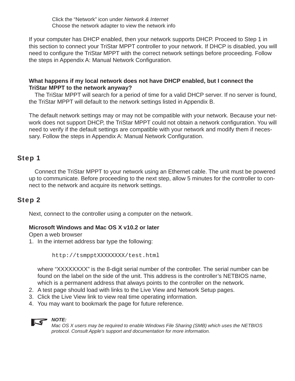Click the "Network" icon under *Network & Internet* Choose the network adapter to view the network info

If your computer has DHCP enabled, then your network supports DHCP. Proceed to Step 1 in this section to connect your TriStar MPPT controller to your network. If DHCP is disabled, you will need to configure the TriStar MPPT with the correct network settings before proceeding. Follow the steps in Appendix A: Manual Network Configuration.

#### **What happens if my local network does not have DHCP enabled, but I connect the TriStar MPPT to the network anyway?**

 The TriStar MPPT will search for a period of time for a valid DHCP server. If no server is found, the TriStar MPPT will default to the network settings listed in Appendix B.

The default network settings may or may not be compatible with your network. Because your network does not support DHCP, the TriStar MPPT could not obtain a network configuration. You will need to verify if the default settings are compatible with your network and modify them if necessary. Follow the steps in Appendix A: Manual Network Configuration.

### Step 1

 Connect the TriStar MPPT to your network using an Ethernet cable. The unit must be powered up to communicate. Before proceeding to the next step, allow 5 minutes for the controller to connect to the network and acquire its network settings.

### Step 2

Next, connect to the controller using a computer on the network.

#### **Microsoft Windows and Mac OS X v10.2 or later**

Open a web browser

1. In the internet address bar type the following:

http://tsmpptXXXXXXXX/test.html

where "XXXXXXXX" is the 8-digit serial number of the controller. The serial number can be found on the label on the side of the unit. This address is the controller's NETBIOS name, which is a permanent address that always points to the controller on the network.

- 2. A test page should load with links to the Live View and Network Setup pages.
- 3. Click the Live View link to view real time operating information.
- 4. You may want to bookmark the page for future reference.



#### *NOTE:*

*Mac OS X users may be required to enable Windows File Sharing (SMB) which uses the NETBIOS protocol. Consult Apple's support and documentation for more information.*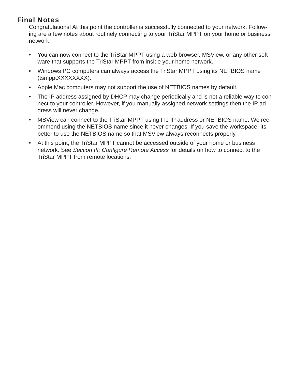### Final Notes

Congratulations! At this point the controller is successfully connected to your network. Following are a few notes about routinely connecting to your TriStar MPPT on your home or business network.

- You can now connect to the TriStar MPPT using a web browser, MSView, or any other software that supports the TriStar MPPT from inside your home network.
- Windows PC computers can always access the TriStar MPPT using its NETBIOS name (tsmpptXXXXXXXX).
- Apple Mac computers may not support the use of NETBIOS names by default.
- The IP address assigned by DHCP may change periodically and is not a reliable way to connect to your controller. However, if you manually assigned network settings then the IP address will never change.
- MSView can connect to the TriStar MPPT using the IP address or NETBIOS name. We recommend using the NETBIOS name since it never changes. If you save the workspace, its better to use the NETBIOS name so that MSView always reconnects properly.
- At this point, the TriStar MPPT cannot be accessed outside of your home or business network. See Section III: Configure Remote Access for details on how to connect to the TriStar MPPT from remote locations.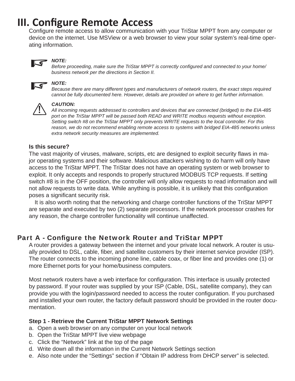## **III. Configure Remote Access**

Configure remote access to allow communication with your TriStar MPPT from any computer or device on the internet. Use MSView or a web browser to view your solar system's real-time operating information.



#### *NOTE:*

*Before proceeding, make sure the TriStar MPPT is correctly configured and connected to your home/ business network per the directions in Section II.*



## *NOTE:*

*Because there are many different types and manufacturers of network routers, the exact steps required cannot be fully documented here. However, details are provided on where to get further information.*



**CAUTION:**<br>*All incoming requests addressed to controllers and devices that are connected (bridged) to the EIA-485***<br><b>All incoming requests addressed to controllers and devices that are connected (bridged) to the EIA-485** *port on the TriStar MPPT will be passed both READ and WRITE modbus requests without exception. Setting switch #8 on the TriStar MPPT only prevents WRITE requests to the local controller. For this reason, we do not recommend enabling remote access to systems with bridged EIA-485 networks unless extra network security measures are implemented.* 

#### **Is this secure?**

The vast majority of viruses, malware, scripts, etc are designed to exploit security flaws in major operating systems and their software. Malicious attackers wishing to do harm will only have access to the TriStar MPPT. The TriStar does not have an operating system or web browser to exploit. It only accepts and responds to properly structured MODBUS TCP requests. If setting switch #8 is in the OFF position, the controller will only allow requests to read information and will not allow requests to write data. While anything is possible, it is unlikely that this configuration poses a significant security risk.

 It is also worth noting that the networking and charge controller functions of the TriStar MPPT are separate and executed by two (2) separate processors. If the network processor crashes for any reason, the charge controller functionality will continue unaffected.

### Part A - Configure the Network Router and TriStar MPPT

A router provides a gateway between the internet and your private local network. A router is usually provided to DSL, cable, fiber, and satellite customers by their internet service provider (ISP). The router connects to the incoming phone line, cable coax, or fiber line and provides one (1) or more Ethernet ports for your home/business computers.

Most network routers have a web interface for configuration. This interface is usually protected by password. If your router was supplied by your ISP (Cable, DSL, satellite company), they can provide you with the login/password needed to access the router configuration. If you purchased and installed your own router, the factory default password should be provided in the router documentation.

#### **Step 1 - Retrieve the Current TriStar MPPT Network Settings**

- a. Open a web browser on any computer on your local network
- b. Open the TriStar MPPT live view webpage
- c. Click the "Network" link at the top of the page
- d. Write down all the information in the Current Network Settings section
- e. Also note under the "Settings" section if "Obtain IP address from DHCP server" is selected.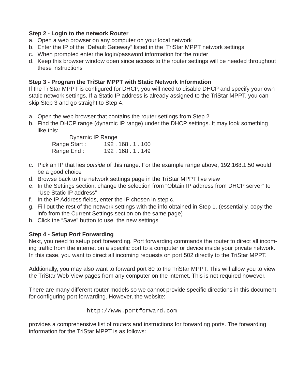#### **Step 2 - Login to the network Router**

- a. Open a web browser on any computer on your local network
- b. Enter the IP of the "Default Gateway" listed in the TriStar MPPT network settings
- c. When prompted enter the login/password information for the router
- d. Keep this browser window open since access to the router settings will be needed throughout these instructions

#### **Step 3 - Program the TriStar MPPT with Static Network Information**

If the TriStar MPPT is configured for DHCP, you will need to disable DHCP and specify your own static network settings. If a Static IP address is already assigned to the TriStar MPPT, you can skip Step 3 and go straight to Step 4.

- a. Open the web browser that contains the router settings from Step 2
- b. Find the DHCP range (dynamic IP range) under the DHCP settings. It may look something like this:

| Dynamic IP Range |               |
|------------------|---------------|
| Range Start:     | 192.168.1.100 |
| Range End:       | 192.168.1.149 |

- c. Pick an IP that lies *outside* of this range. For the example range above, 192.168.1.50 would be a good choice
- d. Browse back to the network settings page in the TriStar MPPT live view
- e. In the Settings section, change the selection from "Obtain IP address from DHCP server" to "Use Static IP address"
- f. In the IP Address fields, enter the IP chosen in step c.
- g. Fill out the rest of the network settings with the info obtained in Step 1. (essentially, copy the info from the Current Settings section on the same page)
- h. Click the "Save" button to use the new settings

### **Step 4 - Setup Port Forwarding**

Next, you need to setup port forwarding. Port forwarding commands the router to direct all incoming traffic from the internet on a specific port to a computer or device inside your private network. In this case, you want to direct all incoming requests on port 502 directly to the TriStar MPPT.

Addtionally, you may also want to forward port 80 to the TriStar MPPT. This will allow you to view the TriStar Web View pages from any computer on the internet. This is not required however.

There are many different router models so we cannot provide specific directions in this document for configuring port forwarding. However, the website:

http://www.portforward.com

provides a comprehensive list of routers and instructions for forwarding ports. The forwarding information for the TriStar MPPT is as follows: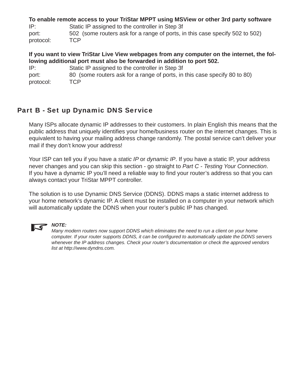**To enable remote access to your TriStar MPPT using MSView or other 3rd party software** IP: Static IP assigned to the controller in Step 3f port: 502 (some routers ask for a range of ports, in this case specify 502 to 502) protocol: TCP

**If you want to view TriStar Live View webpages from any computer on the internet, the following additional port must also be forwarded in addition to port 502.**

IP: Static IP assigned to the controller in Step 3f port: 80 (some routers ask for a range of ports, in this case specify 80 to 80) protocol: TCP

## Part B - Set up Dynamic DNS Service

Many ISPs allocate dynamic IP addresses to their customers. In plain English this means that the public address that uniquely identifies your home/business router on the internet changes. This is equivalent to having your mailing address change randomly. The postal service can't deliver your mail if they don't know your address!

Your ISP can tell you if you have a *static IP* or *dynamic IP*. If you have a static IP, your address never changes and you can skip this section - go straight to *Part C - Testing Your Connection*. If you have a dynamic IP you'll need a reliable way to find your router's address so that you can always contact your TriStar MPPT controller.

The solution is to use Dynamic DNS Service (DDNS). DDNS maps a static internet address to your home network's dynamic IP. A client must be installed on a computer in your network which will automatically update the DDNS when your router's public IP has changed.



#### *NOTE:*

*Many modern routers now support DDNS which eliminates the need to run a client on your home computer. If your router supports DDNS, it can be confi gured to automatically update the DDNS servers whenever the IP address changes. Check your router's documentation or check the approved vendors list at http://www.dyndns.com.*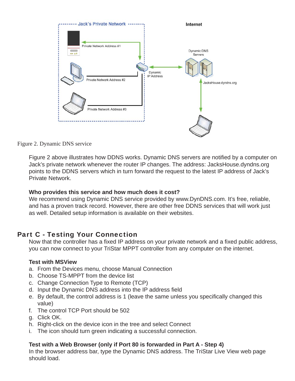

Figure 2. Dynamic DNS service

Figure 2 above illustrates how DDNS works. Dynamic DNS servers are notified by a computer on Jack's private network whenever the router IP changes. The address: JacksHouse.dyndns.org points to the DDNS servers which in turn forward the request to the latest IP address of Jack's Private Network.

#### **Who provides this service and how much does it cost?**

We recommend using Dynamic DNS service provided by www.DynDNS.com. It's free, reliable, and has a proven track record. However, there are other free DDNS services that will work just as well. Detailed setup information is available on their websites.

### Part C - Testing Your Connection

Now that the controller has a fixed IP address on your private network and a fixed public address, you can now connect to your TriStar MPPT controller from any computer on the internet.

#### **Test with MSView**

- a. From the Devices menu, choose Manual Connection
- b. Choose TS-MPPT from the device list
- c. Change Connection Type to Remote (TCP)
- d. Input the Dynamic DNS address into the IP address field
- e. By default, the control address is 1 (leave the same unless you specifically changed this value)
- f. The control TCP Port should be 502
- g. Click OK.
- h. Right-click on the device icon in the tree and select Connect
- i. The icon should turn green indicating a successful connection.

### **Test with a Web Browser (only if Port 80 is forwarded in Part A - Step 4)**

In the browser address bar, type the Dynamic DNS address. The TriStar Live View web page should load.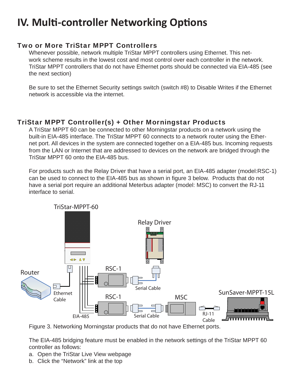## **IV. Multi -controller Networking Opti ons**

### Two or More TriStar MPPT Controllers

Whenever possible, network multiple TriStar MPPT controllers using Ethernet. This network scheme results in the lowest cost and most control over each controller in the network. TriStar MPPT controllers that do not have Ethernet ports should be connected via EIA-485 (see the next section)

Be sure to set the Ethernet Security settings switch (switch #8) to Disable Writes if the Ethernet network is accessible via the internet.

### TriStar MPPT Controller(s) + Other Morningstar Products

A TriStar MPPT 60 can be connected to other Morningstar products on a network using the built-in EIA-485 interface. The TriStar MPPT 60 connects to a network router using the Ethernet port. All devices in the system are connected together on a EIA-485 bus. Incoming requests from the LAN or Internet that are addressed to devices on the network are bridged through the TriStar MPPT 60 onto the EIA-485 bus.

For products such as the Relay Driver that have a serial port, an EIA-485 adapter (model:RSC-1) can be used to connect to the EIA-485 bus as shown in figure 3 below. Products that do not have a serial port require an additional Meterbus adapter (model: MSC) to convert the RJ-11 interface to serial.



Figure 3. Networking Morningstar products that do not have Ethernet ports.

The EIA-485 bridging feature must be enabled in the network settings of the TriStar MPPT 60 controller as follows:

- a. Open the TriStar Live View webpage
- b. Click the "Network" link at the top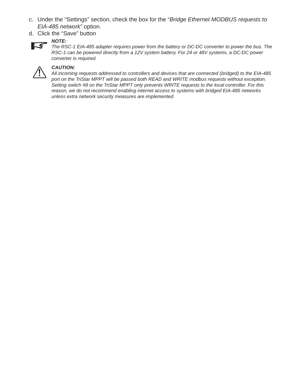- c. Under the "Settings" section, check the box for the "*Bridge Ethernet MODBUS requests to EIA-485 network"* option.
- d. Click the "Save" button



#### *NOTE:*

*The RSC-1 EIA-485 adapter requires power from the battery or DC-DC converter to power the bus. The RSC-1 can be powered directly from a 12V system battery. For 24 or 48V systems, a DC-DC power converter is required.*



**CAUTION:**<br>*All incoming requests addressed to controllers and devices that are connected (bridged) to the EIA-485***<br><b>All incoming requests addressed to controllers and devices that are connected (bridged) to the EIA-485** *port on the TriStar MPPT will be passed both READ and WRITE modbus requests without exception. Setting switch #8 on the TriStar MPPT only prevents WRITE requests to the local controller. For this reason, we do not recommend enabling internet access to systems with bridged EIA-485 networks unless extra network security measures are implemented.*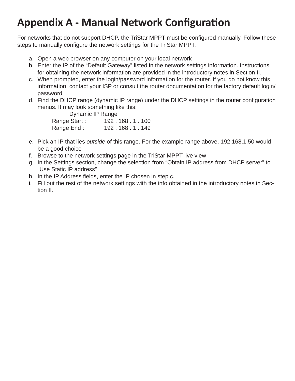## **Appendix A - Manual Network Configuration**

For networks that do not support DHCP, the TriStar MPPT must be configured manually. Follow these steps to manually configure the network settings for the TriStar MPPT.

- a. Open a web browser on any computer on your local network
- b. Enter the IP of the "Default Gateway" listed in the network settings information. Instructions for obtaining the network information are provided in the introductory notes in Section II.
- c. When prompted, enter the login/password information for the router. If you do not know this information, contact your ISP or consult the router documentation for the factory default login/ password.
- d. Find the DHCP range (dynamic IP range) under the DHCP settings in the router configuration menus. It may look something like this:

| Dynamic IP Range |               |
|------------------|---------------|
| Range Start:     | 192.168.1.100 |
| Range End:       | 192.168.1.149 |

- e. Pick an IP that lies *outside* of this range. For the example range above, 192.168.1.50 would be a good choice
- f. Browse to the network settings page in the TriStar MPPT live view
- g. In the Settings section, change the selection from "Obtain IP address from DHCP server" to "Use Static IP address"
- h. In the IP Address fields, enter the IP chosen in step c.
- i. Fill out the rest of the network settings with the info obtained in the introductory notes in Section II.